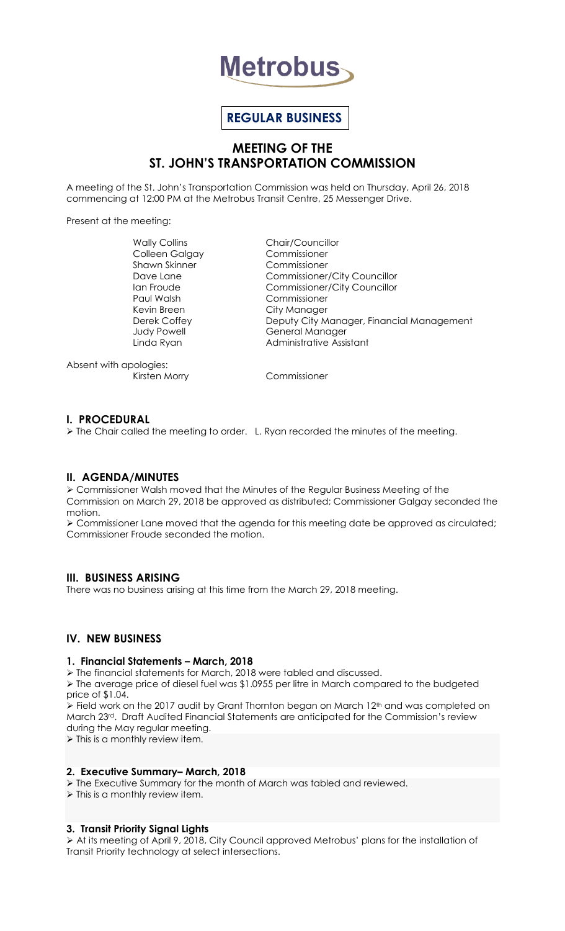

# **REGULAR BUSINESS**

# **MEETING OF THE ST. JOHN'S TRANSPORTATION COMMISSION**

A meeting of the St. John's Transportation Commission was held on Thursday, April 26, 2018 commencing at 12:00 PM at the Metrobus Transit Centre, 25 Messenger Drive.

Present at the meeting:

Wally Collins Chair/Councillor Colleen Galgay Commissioner Shawn Skinner Commissioner Paul Walsh Commissioner Kevin Breen City Manager

Dave Lane Commissioner/City Councillor Ian Froude Commissioner/City Councillor Deputy City Manager, Financial Management Judy Powell **General Manager** Linda Ryan **Administrative Assistant** 

Absent with apologies:

Kirsten Morry Commissioner

# **I. PROCEDURAL**

 $\triangleright$  The Chair called the meeting to order. L. Ryan recorded the minutes of the meeting.

# **II. AGENDA/MINUTES**

 Commissioner Walsh moved that the Minutes of the Regular Business Meeting of the Commission on March 29, 2018 be approved as distributed; Commissioner Galgay seconded the motion.

 Commissioner Lane moved that the agenda for this meeting date be approved as circulated; Commissioner Froude seconded the motion.

# **III. BUSINESS ARISING**

There was no business arising at this time from the March 29, 2018 meeting.

# **IV. NEW BUSINESS**

#### **1. Financial Statements – March, 2018**

The financial statements for March, 2018 were tabled and discussed.

> The average price of diesel fuel was \$1.0955 per litre in March compared to the budgeted price of \$1.04.

> Field work on the 2017 audit by Grant Thornton began on March 12<sup>th</sup> and was completed on March 23rd. Draft Audited Financial Statements are anticipated for the Commission's review during the May regular meeting.

 $\triangleright$  This is a monthly review item.

# **2. Executive Summary– March, 2018**

The Executive Summary for the month of March was tabled and reviewed.

 $\triangleright$  This is a monthly review item.

# **3. Transit Priority Signal Lights**

 At its meeting of April 9, 2018, City Council approved Metrobus' plans for the installation of Transit Priority technology at select intersections.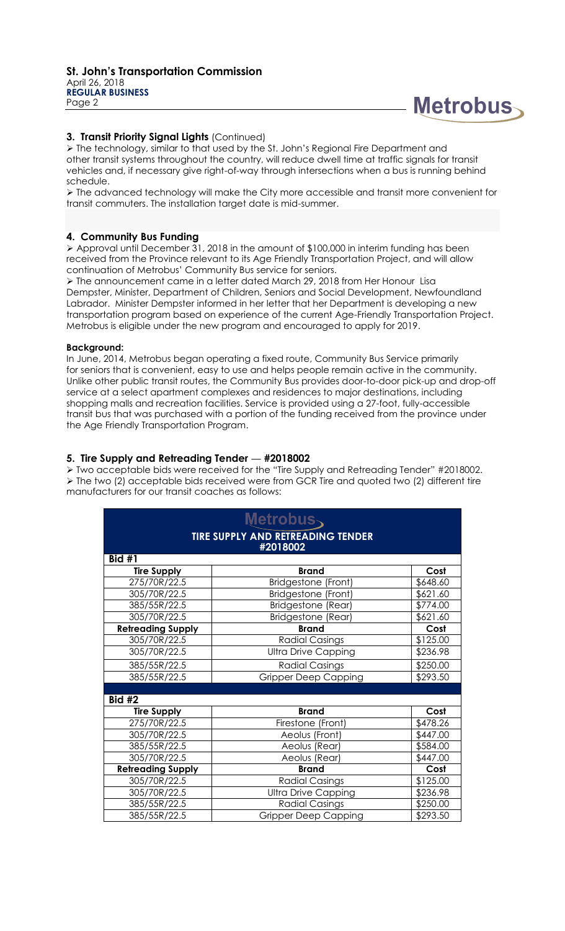

# **3. Transit Priority Signal Lights** (Continued)

 The technology, similar to that used by the St. John's Regional Fire Department and other transit systems throughout the country, will reduce dwell time at traffic signals for transit vehicles and, if necessary give right-of-way through intersections when a bus is running behind schedule.

 The advanced technology will make the City more accessible and transit more convenient for transit commuters. The installation target date is mid-summer.

### **4. Community Bus Funding**

 Approval until December 31, 2018 in the amount of \$100,000 in interim funding has been received from the Province relevant to its Age Friendly Transportation Project, and will allow continuation of Metrobus' Community Bus service for seniors.

 The announcement came in a letter dated March 29, 2018 from Her Honour Lisa Dempster, Minister, Department of Children, Seniors and Social Development, Newfoundland Labrador. Minister Dempster informed in her letter that her Department is developing a new transportation program based on experience of the current Age-Friendly Transportation Project. Metrobus is eligible under the new program and encouraged to apply for 2019.

#### **Background:**

In June, 2014, Metrobus began operating a fixed route, Community Bus Service primarily for seniors that is convenient, easy to use and helps people remain active in the community. Unlike other public transit routes, the Community Bus provides door-to-door pick-up and drop-off service at a select apartment complexes and residences to major destinations, including shopping malls and recreation facilities. Service is provided using a 27-foot, fully-accessible transit bus that was purchased with a portion of the funding received from the province under the Age Friendly Transportation Program.

#### **5. Tire Supply and Retreading Tender — #2018002**

 Two acceptable bids were received for the "Tire Supply and Retreading Tender" #2018002. The two (2) acceptable bids received were from GCR Tire and quoted two (2) different tire manufacturers for our transit coaches as follows:

| Metrobus<br><b>TIRE SUPPLY AND RETREADING TENDER</b><br>#2018002 |                             |          |                    |              |      |
|------------------------------------------------------------------|-----------------------------|----------|--------------------|--------------|------|
|                                                                  |                             |          | Bid $#1$           |              |      |
|                                                                  |                             |          | <b>Tire Supply</b> | <b>Brand</b> | Cost |
| 275/70R/22.5                                                     | Bridgestone (Front)         | \$648.60 |                    |              |      |
| 305/70R/22.5                                                     | Bridgestone (Front)         | \$621.60 |                    |              |      |
| 385/55R/22.5                                                     | <b>Bridgestone (Rear)</b>   | \$774.00 |                    |              |      |
| 305/70R/22.5                                                     | Bridgestone (Rear)          | \$621.60 |                    |              |      |
| <b>Retreading Supply</b>                                         | <b>Brand</b>                | Cost     |                    |              |      |
| 305/70R/22.5                                                     | <b>Radial Casings</b>       | \$125.00 |                    |              |      |
| 305/70R/22.5                                                     | <b>Ultra Drive Capping</b>  | \$236.98 |                    |              |      |
| 385/55R/22.5                                                     | <b>Radial Casings</b>       | \$250.00 |                    |              |      |
| 385/55R/22.5                                                     | <b>Gripper Deep Capping</b> | \$293.50 |                    |              |      |
|                                                                  |                             |          |                    |              |      |
| <b>Bid #2</b>                                                    |                             |          |                    |              |      |
| <b>Tire Supply</b>                                               | <b>Brand</b>                | Cost     |                    |              |      |
| 275/70R/22.5                                                     | Firestone (Front)           | \$478.26 |                    |              |      |
| 305/70R/22.5                                                     | Aeolus (Front)              | \$447.00 |                    |              |      |
| 385/55R/22.5                                                     | Aeolus (Rear)               | \$584.00 |                    |              |      |
| 305/70R/22.5                                                     | Aeolus (Rear)               | \$447.00 |                    |              |      |
| <b>Retreading Supply</b>                                         | <b>Brand</b>                | Cost     |                    |              |      |
| 305/70R/22.5                                                     | <b>Radial Casings</b>       | \$125.00 |                    |              |      |
| 305/70R/22.5                                                     | <b>Ultra Drive Capping</b>  | \$236.98 |                    |              |      |
| 385/55R/22.5                                                     | <b>Radial Casings</b>       | \$250.00 |                    |              |      |
| 385/55R/22.5                                                     | <b>Gripper Deep Capping</b> | \$293.50 |                    |              |      |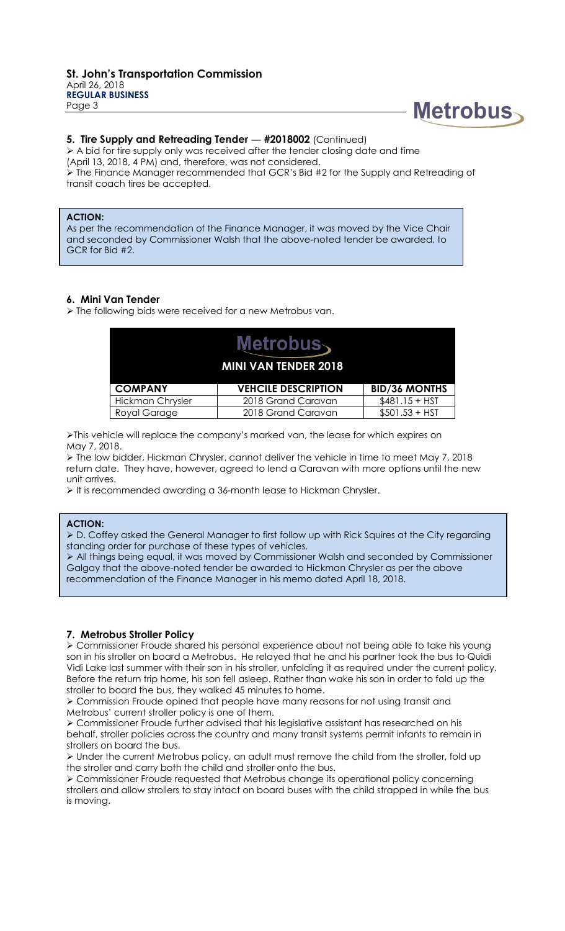

#### **5. Tire Supply and Retreading Tender**  $-$  **#2018002 (Continued)**

 $\triangleright$  A bid for tire supply only was received after the tender closing date and time

(April 13, 2018, 4 PM) and, therefore, was not considered.

 $\triangleright$  The Finance Manager recommended that GCR's Bid #2 for the Supply and Retreading of transit coach tires be accepted.

# **ACTION:**

As per the recommendation of the Finance Manager, it was moved by the Vice Chair and seconded by Commissioner Walsh that the above-noted tender be awarded, to GCR for Bid #2.

### **6. Mini Van Tender**

> The following bids were received for a new Metrobus van.

| Metrobus∖<br><b>MINI VAN TENDER 2018</b> |                            |                      |
|------------------------------------------|----------------------------|----------------------|
| <b>COMPANY</b>                           | <b>VEHCILE DESCRIPTION</b> | <b>BID/36 MONTHS</b> |
| Hickman Chrysler                         | 2018 Grand Caravan         | $$481.15 + HST$      |
| Royal Garage                             | 2018 Grand Caravan         | $$501.53 + HST$      |

This vehicle will replace the company's marked van, the lease for which expires on May 7, 2018.

 The low bidder, Hickman Chrysler, cannot deliver the vehicle in time to meet May 7, 2018 return date. They have, however, agreed to lend a Caravan with more options until the new unit arrives.

It is recommended awarding a 36-month lease to Hickman Chrysler.

#### **ACTION:**

 D. Coffey asked the General Manager to first follow up with Rick Squires at the City regarding standing order for purchase of these types of vehicles.

 All things being equal, it was moved by Commissioner Walsh and seconded by Commissioner Galgay that the above-noted tender be awarded to Hickman Chrysler as per the above recommendation of the Finance Manager in his memo dated April 18, 2018.

#### **7. Metrobus Stroller Policy**

 Commissioner Froude shared his personal experience about not being able to take his young son in his stroller on board a Metrobus. He relayed that he and his partner took the bus to Quidi Vidi Lake last summer with their son in his stroller, unfolding it as required under the current policy. Before the return trip home, his son fell asleep. Rather than wake his son in order to fold up the stroller to board the bus, they walked 45 minutes to home.

 Commission Froude opined that people have many reasons for not using transit and Metrobus' current stroller policy is one of them.

 Commissioner Froude further advised that his legislative assistant has researched on his behalf, stroller policies across the country and many transit systems permit infants to remain in strollers on board the bus.

 $\triangleright$  Under the current Metrobus policy, an adult must remove the child from the stroller, fold up the stroller and carry both the child and stroller onto the bus.

 Commissioner Froude requested that Metrobus change its operational policy concerning strollers and allow strollers to stay intact on board buses with the child strapped in while the bus is moving.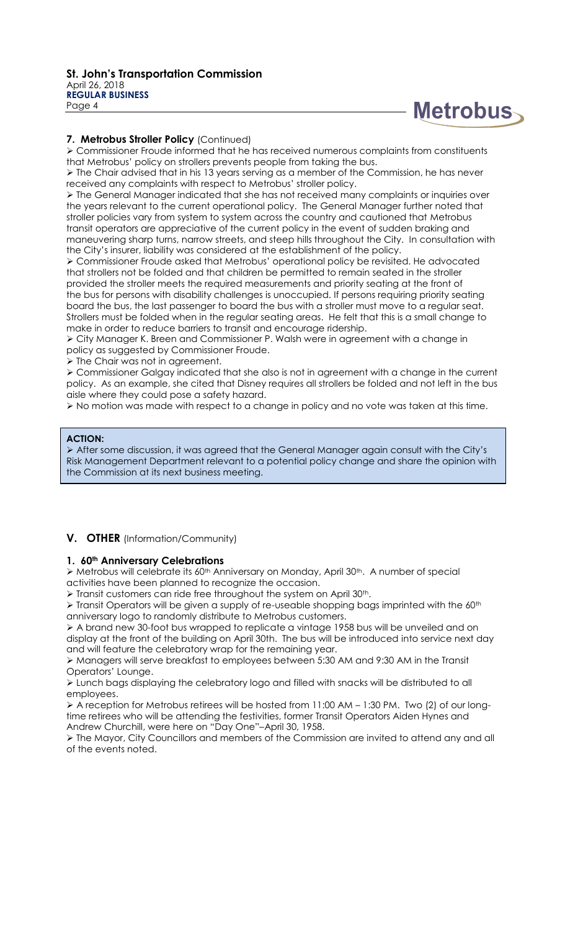

### **7. Metrobus Stroller Policy** (Continued)

 Commissioner Froude informed that he has received numerous complaints from constituents that Metrobus' policy on strollers prevents people from taking the bus.

 $\triangleright$  The Chair advised that in his 13 years serving as a member of the Commission, he has never received any complaints with respect to Metrobus' stroller policy.

 The General Manager indicated that she has not received many complaints or inquiries over the years relevant to the current operational policy. The General Manager further noted that stroller policies vary from system to system across the country and cautioned that Metrobus transit operators are appreciative of the current policy in the event of sudden braking and maneuvering sharp turns, narrow streets, and steep hills throughout the City. In consultation with the City's insurer, liability was considered at the establishment of the policy.

 Commissioner Froude asked that Metrobus' operational policy be revisited. He advocated that strollers not be folded and that children be permitted to remain seated in the stroller provided the stroller meets the required measurements and priority seating at the front of the bus for persons with disability challenges is unoccupied. If persons requiring priority seating board the bus, the last passenger to board the bus with a stroller must move to a regular seat. Strollers must be folded when in the regular seating areas. He felt that this is a small change to make in order to reduce barriers to transit and encourage ridership.

 City Manager K. Breen and Commissioner P. Walsh were in agreement with a change in policy as suggested by Commissioner Froude.

> The Chair was not in agreement.

 Commissioner Galgay indicated that she also is not in agreement with a change in the current policy. As an example, she cited that Disney requires all strollers be folded and not left in the bus aisle where they could pose a safety hazard.

 $\triangleright$  No motion was made with respect to a change in policy and no vote was taken at this time.

#### **ACTION:**

 After some discussion, it was agreed that the General Manager again consult with the City's Risk Management Department relevant to a potential policy change and share the opinion with the Commission at its next business meeting.

# **V. OTHER** (Information/Community)

#### **1. 60th Anniversary Celebrations**

> Metrobus will celebrate its 60<sup>th</sup> Anniversary on Monday, April 30<sup>th</sup>. A number of special activities have been planned to recognize the occasion.

 $\triangleright$  Transit customers can ride free throughout the system on April 30<sup>th</sup>.

 $\triangleright$  Transit Operators will be given a supply of re-useable shopping bags imprinted with the 60<sup>th</sup> anniversary logo to randomly distribute to Metrobus customers.

 A brand new 30-foot bus wrapped to replicate a vintage 1958 bus will be unveiled and on display at the front of the building on April 30th. The bus will be introduced into service next day and will feature the celebratory wrap for the remaining year.

 Managers will serve breakfast to employees between 5:30 AM and 9:30 AM in the Transit Operators' Lounge.

 Lunch bags displaying the celebratory logo and filled with snacks will be distributed to all employees.

 $\triangleright$  A reception for Metrobus retirees will be hosted from 11:00 AM – 1:30 PM. Two (2) of our longtime retirees who will be attending the festivities, former Transit Operators Aiden Hynes and Andrew Churchill, were here on "Day One"–April 30, 1958.

 The Mayor, City Councillors and members of the Commission are invited to attend any and all of the events noted.